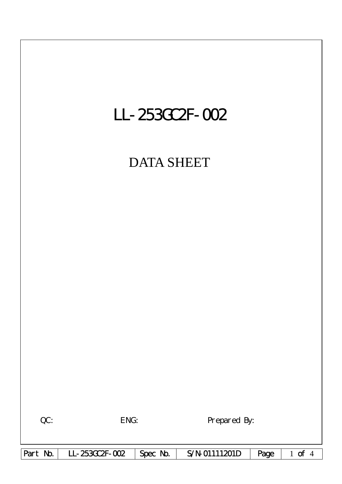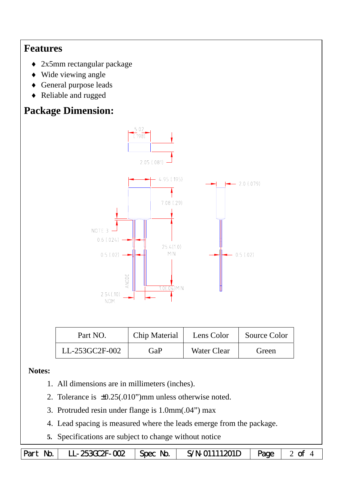## **Features**

- ♦ 2x5mm rectangular package
- ♦ Wide viewing angle
- ♦ General purpose leads
- ♦ Reliable and rugged

# **Package Dimension:**



| Part NO.       | Chip Material | Lens Color         | Source Color |  |
|----------------|---------------|--------------------|--------------|--|
| LL-253GC2F-002 | GaP           | <b>Water Clear</b> | Green        |  |

#### **Notes:**

- 1. All dimensions are in millimeters (inches).
- 2. Tolerance is  $\pm 0.25(.010")$  mm unless otherwise noted.
- 3. Protruded resin under flange is 1.0mm(.04") max
- 4. Lead spacing is measured where the leads emerge from the package.
- **5.** Specifications are subject to change without notice

|  | Part No.   LL-253GC2F-002   Spec No.   S/N-01111201D   Page   2 of 4 |  |  |  |  |
|--|----------------------------------------------------------------------|--|--|--|--|
|--|----------------------------------------------------------------------|--|--|--|--|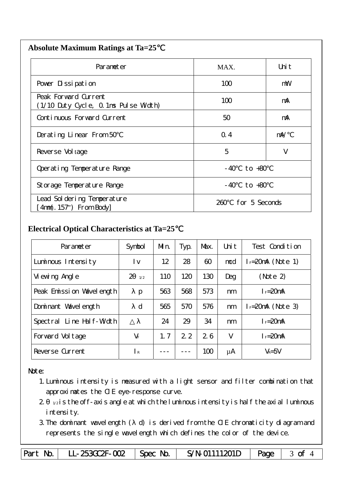| Parameter                                                    | MAX.                  | Uni t      |
|--------------------------------------------------------------|-----------------------|------------|
| Pover Dissipation                                            | 100                   | mW         |
| Peak Forward Current<br>(1/10 Duty Cycle, 0.1ms Pulse Width) | 100                   | mA         |
| Continuous Forward Current                                   | 50                    | mA         |
| Derating Linear From 50                                      | Q.4                   | $m\lambda$ |
| Reverse Vol tage                                             | 5                     | V          |
| Operating Temperature Range                                  | to $+80$<br>- 40      |            |
| Storage Temperature Range                                    | $-40$ to $+80$        |            |
| Lead Sol dering Temperature<br>4nm(. 157") From Body         | for 5 Seconds<br>260. |            |

### **Electrical Optical Characteristics at Ta=25**℃

| Parameter                   | Symbol                | Mn. | Typ. | Max. | Uni t | Test Condition       |
|-----------------------------|-----------------------|-----|------|------|-------|----------------------|
| Luminous Intensity          | l v                   | 12  | 28   | 60   | mcd   | $I_F=20$ mA (Note 1) |
| Vi ewing Angl e             | $\overline{2}$<br>1/2 | 110 | 120  | 130  | Deg   | (Note 2)             |
| Peak Emission Wavelength    | p                     | 563 | 568  | 573  | nm    | $I_F = 20$ mA        |
| Dominant Wavelength         | $\mathbf d$           | 565 | 570  | 576  | nm    | $I = 20mA$ (Note 3)  |
| Line Half-Width<br>Spectral |                       | 24  | 29   | 34   | nm    | $I_F = 20$ mA        |
| Forward Voltage             | $V_F$                 | 1.7 | 2.2  | 26   | V     | $I_F = 20$ mA        |
| Reverse Current             | $\mathsf{R}$          |     |      | 100  | μA    | $V_R = 5V$           |

#### Note:

- 1.Luminous intensity is measured with a light sensor and filter combination that approximates the CIE eye-response curve.
- $2 1/2$  is the off-axis angle at which the luminous intensity is half the axial luminous i ntensity.
- 3.The dominant wavelength ( d) is derived from the CIE chromaticity diagram and represents the single wavelength which defines the color of the device.

Part No. LL-253GC2F-002 | Spec No. | S/N-01111201D | Page | 3 of 4